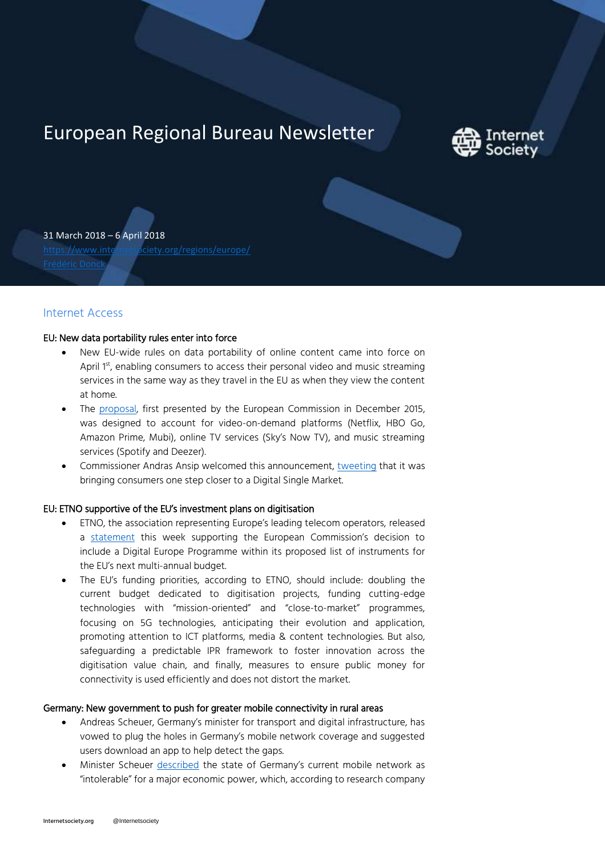# European Regional Bureau Newsletter



31 March 2018 – 6 April 2018 <https://www.internetsociety.org/regions/europe/>

## Internet Access

## EU: New data portability rules enter into force

- New EU-wide rules on data portability of online content came into force on April 1st, enabling consumers to access their personal video and music streaming services in the same way as they travel in the EU as when they view the content at home.
- The [proposal,](http://europa.eu/rapid/press-release_IP-17-225_en.htm?utm_source=POLITICO.EU&utm_campaign=089f577461-EMAIL_CAMPAIGN_2018_04_02&utm_medium=email&utm_term=0_10959edeb5-089f577461-190136225) first presented by the European Commission in December 2015, was designed to account for video-on-demand platforms (Netflix, HBO Go, Amazon Prime, Mubi), online TV services (Sky's Now TV), and music streaming services (Spotify and Deezer).
- Commissioner Andras Ansip welcomed this announcement, [tweeting](https://twitter.com/Ansip_EU/status/980487876210253824?utm_source=POLITICO.EU&utm_campaign=089f577461-EMAIL_CAMPAIGN_2018_04_02&utm_medium=email&utm_term=0_10959edeb5-089f577461-190136225) that it was bringing consumers one step closer to a Digital Single Market.

## EU: ETNO supportive of the EU's investment plans on digitisation

- ETNO, the association representing Europe's leading telecom operators, released a [statement](https://etno.eu/news/etno/2018/963) this week supporting the European Commission's decision to include a Digital Europe Programme within its proposed list of instruments for the EU's next multi-annual budget.
- The EU's funding priorities, according to ETNO, should include: doubling the current budget dedicated to digitisation projects, funding cutting-edge technologies with "mission-oriented" and "close-to-market" programmes, focusing on 5G technologies, anticipating their evolution and application, promoting attention to ICT platforms, media & content technologies. But also, safeguarding a predictable IPR framework to foster innovation across the digitisation value chain, and finally, measures to ensure public money for connectivity is used efficiently and does not distort the market.

## Germany: New government to push for greater mobile connectivity in rural areas

- Andreas Scheuer, Germany's minister for transport and digital infrastructure, has vowed to plug the holes in Germany's mobile network coverage and suggested users download an app to help detect the gaps.
- Minister Scheuer [described](https://m.bild.de/politik/inland/digitalisierung/groko-will-funklochmelder-55266002,view=amp.bildMobile.html?utm_source=) the state of Germany's current mobile network as "intolerable" for a major economic power, which, according to research company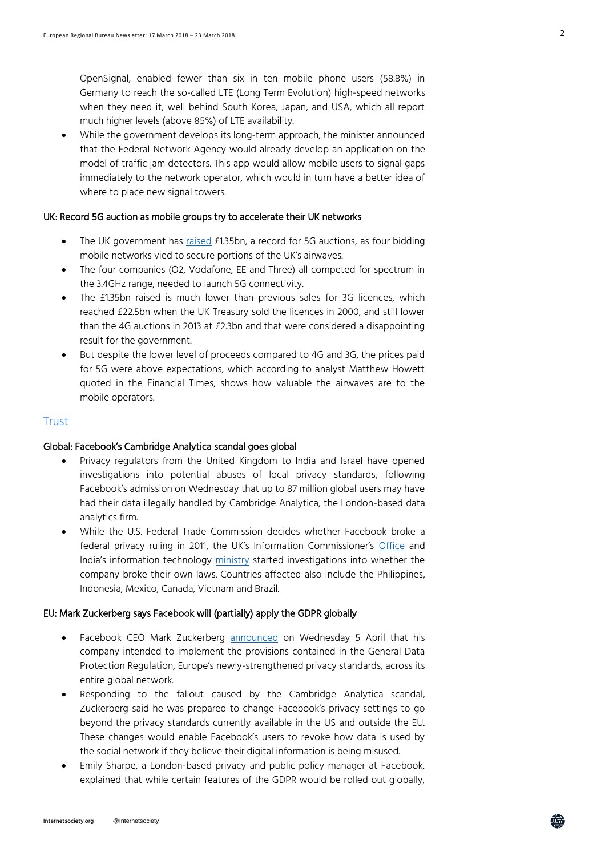OpenSignal, enabled fewer than six in ten mobile phone users (58.8%) in Germany to reach the so-called LTE (Long Term Evolution) high-speed networks when they need it, well behind South Korea, Japan, and USA, which all report much higher levels (above 85%) of LTE availability.

 While the government develops its long-term approach, the minister announced that the Federal Network Agency would already develop an application on the model of traffic jam detectors. This app would allow mobile users to signal gaps immediately to the network operator, which would in turn have a better idea of where to place new signal towers.

## UK: Record 5G auction as mobile groups try to accelerate their UK networks

- The UK government has [raised](https://www.ft.com/content/9f2756da-389f-11e8-8b98-2f31af407cc8?utm_source=POLITICO.EU&utm_campaign=492b11b1d8-EMAIL_CAMPAIGN_2018_04_05&utm_medium=email&utm_term=0_10959edeb5-492b11b1d8-190136225) £1.35bn, a record for 5G auctions, as four bidding mobile networks vied to secure portions of the UK's airwaves.
- The four companies (O2, Vodafone, EE and Three) all competed for spectrum in the 3.4GHz range, needed to launch 5G connectivity.
- The £1.35bn raised is much lower than previous sales for 3G licences, which reached £22.5bn when the UK Treasury sold the licences in 2000, and still lower than the 4G auctions in 2013 at £2.3bn and that were considered a disappointing result for the government.
- But despite the lower level of proceeds compared to 4G and 3G, the prices paid for 5G were above expectations, which according to analyst Matthew Howett quoted in the Financial Times, shows how valuable the airwaves are to the mobile operators.

## **Trust**

### Global: Facebook's Cambridge Analytica scandal goes global

- Privacy regulators from the United Kingdom to India and Israel have opened investigations into potential abuses of local privacy standards, following Facebook's admission on Wednesday that up to 87 million global users may have had their data illegally handled by Cambridge Analytica, the London-based data analytics firm.
- While the U.S. Federal Trade Commission decides whether Facebook broke a federal privacy ruling in 2011, the UK's Information Commissioner's [Office](https://ico.org.uk/about-the-ico/news-and-events/news-and-blogs/2018/03/statement-facebook-partner-category-service/) and India's information technology [ministry](https://in.reuters.com/article/facebook-cambridge-analytica-india/india-queries-cambridge-analytica-over-alleged-facebook-data-breach-idINKBN1H00B0) started investigations into whether the company broke their own laws. Countries affected also include the Philippines, Indonesia, Mexico, Canada, Vietnam and Brazil.

#### EU: Mark Zuckerberg says Facebook will (partially) apply the GDPR globally

- Facebook CEO Mark Zuckerberg [announced](https://www.reuters.com/article/us-facebook-ceo-privacy-exclusive/exclusive-facebook-ceo-stops-short-of-extending-european-privacy-globally-idUSKCN1HA2M1?utm_source=Twitter&utm_medium=Social) on Wednesday 5 April that his company intended to implement the provisions contained in the General Data Protection Regulation, Europe's newly-strengthened privacy standards, across its entire global network.
- Responding to the fallout caused by the Cambridge Analytica scandal, Zuckerberg said he was prepared to change Facebook's privacy settings to go beyond the privacy standards currently available in the US and outside the EU. These changes would enable Facebook's users to revoke how data is used by the social network if they believe their digital information is being misused.
- Emily Sharpe, a London-based privacy and public policy manager at Facebook, explained that while certain features of the GDPR would be rolled out globally,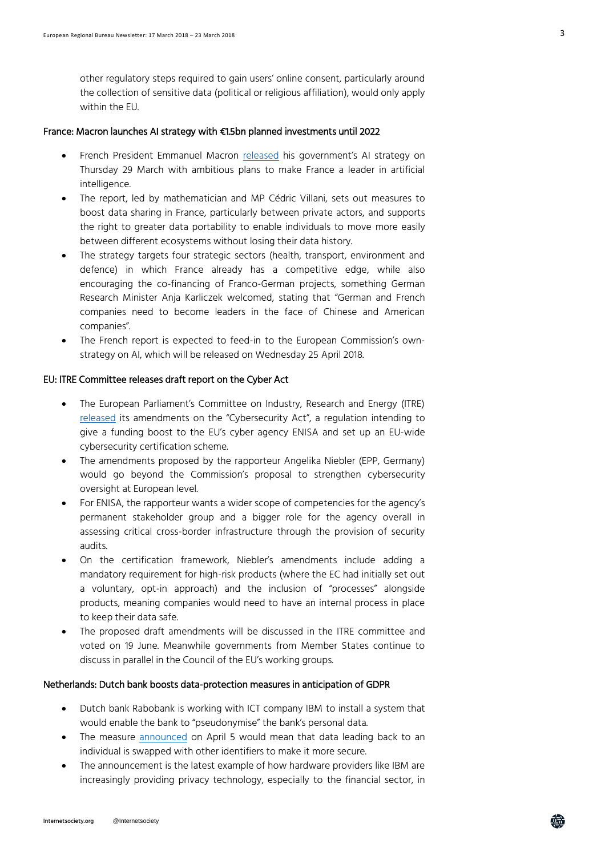other regulatory steps required to gain users' online consent, particularly around the collection of sensitive data (political or religious affiliation), would only apply within the EU.

#### France: Macron launches AI strategy with €1.5bn planned investments until 2022

- French President Emmanuel Macron [released](https://www.aiforhumanity.fr/en/) his government's AI strategy on Thursday 29 March with ambitious plans to make France a leader in artificial intelligence.
- The report, led by mathematician and MP Cédric Villani, sets out measures to boost data sharing in France, particularly between private actors, and supports the right to greater data portability to enable individuals to move more easily between different ecosystems without losing their data history.
- The strategy targets four strategic sectors (health, transport, environment and defence) in which France already has a competitive edge, while also encouraging the co-financing of Franco-German projects, something German Research Minister Anja Karliczek welcomed, stating that "German and French companies need to become leaders in the face of Chinese and American companies".
- The French report is expected to feed-in to the European Commission's ownstrategy on AI, which will be released on Wednesday 25 April 2018.

#### EU: ITRE Committee releases draft report on the Cyber Act

- The European Parliament's Committee on Industry, Research and Energy (ITRE) [released](http://www.europarl.europa.eu/sides/getDoc.do?type=COMPARL&reference=PE-619.373&format=PDF&language=EN&secondRef=01&utm_source=POLITICO.EU&utm_campaign=e6a8f6335c-EMAIL_CAMPAIGN_2018_04_03&utm_medium=email&utm_term=0_10959edeb5-e6a8f6335c-190136225) its amendments on the "Cybersecurity Act", a regulation intending to give a funding boost to the EU's cyber agency ENISA and set up an EU-wide cybersecurity certification scheme.
- The amendments proposed by the rapporteur Angelika Niebler (EPP, Germany) would go beyond the Commission's proposal to strengthen cybersecurity oversight at European level.
- For ENISA, the rapporteur wants a wider scope of competencies for the agency's permanent stakeholder group and a bigger role for the agency overall in assessing critical cross-border infrastructure through the provision of security audits.
- On the certification framework, Niebler's amendments include adding a mandatory requirement for high-risk products (where the EC had initially set out a voluntary, opt-in approach) and the inclusion of "processes" alongside products, meaning companies would need to have an internal process in place to keep their data safe.
- The proposed draft amendments will be discussed in the ITRE committee and voted on 19 June. Meanwhile governments from Member States continue to discuss in parallel in the Council of the EU's working groups.

#### Netherlands: Dutch bank boosts data-protection measures in anticipation of GDPR

- Dutch bank Rabobank is working with ICT company IBM to install a system that would enable the bank to "pseudonymise" the bank's personal data.
- The measure [announced](https://www.prnewswire.com/news-releases/rabobank-desensitizes-client-data-for-gdpr-and-devops-with-ibm-300625162.html) on April 5 would mean that data leading back to an individual is swapped with other identifiers to make it more secure.
- The announcement is the latest example of how hardware providers like IBM are increasingly providing privacy technology, especially to the financial sector, in